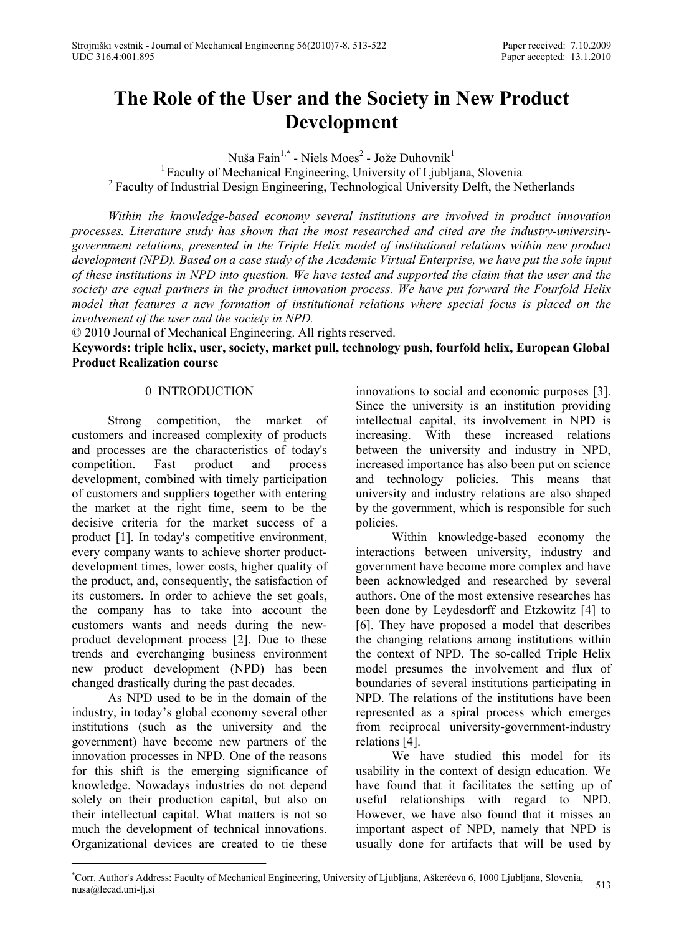# **The Role of the User and the Society in New Product Development**

Nuša Fain<sup>1,\*</sup> - Niels Moes<sup>2</sup> - Jože Duhovnik<sup>1</sup>

<sup>1</sup> Faculty of Mechanical Engineering, University of Ljubljana, Slovenia <sup>2</sup> Faculty of Industrial Design Engineering, Technological University Delft, the Netherlands

*Within the knowledge-based economy several institutions are involved in product innovation processes. Literature study has shown that the most researched and cited are the industry-universitygovernment relations, presented in the Triple Helix model of institutional relations within new product development (NPD). Based on a case study of the Academic Virtual Enterprise, we have put the sole input of these institutions in NPD into question. We have tested and supported the claim that the user and the society are equal partners in the product innovation process. We have put forward the Fourfold Helix model that features a new formation of institutional relations where special focus is placed on the involvement of the user and the society in NPD.* 

© 2010 Journal of Mechanical Engineering. All rights reserved.

**Keywords: triple helix, user, society, market pull, technology push, fourfold helix, European Global Product Realization course** 

#### 0 INTRODUCTION

Strong competition, the market of customers and increased complexity of products and processes are the characteristics of today's competition. Fast product and process development, combined with timely participation of customers and suppliers together with entering the market at the right time, seem to be the decisive criteria for the market success of a product [1]. In today's competitive environment, every company wants to achieve shorter productdevelopment times, lower costs, higher quality of the product, and, consequently, the satisfaction of its customers. In order to achieve the set goals, the company has to take into account the customers wants and needs during the newproduct development process [2]. Due to these trends and everchanging business environment new product development (NPD) has been changed drastically during the past decades.

As NPD used to be in the domain of the industry, in today's global economy several other institutions (such as the university and the government) have become new partners of the innovation processes in NPD. One of the reasons for this shift is the emerging significance of knowledge. Nowadays industries do not depend solely on their production capital, but also on their intellectual capital. What matters is not so much the development of technical innovations. Organizational devices are created to tie these

innovations to social and economic purposes [3]. Since the university is an institution providing intellectual capital, its involvement in NPD is increasing. With these increased relations between the university and industry in NPD, increased importance has also been put on science and technology policies. This means that university and industry relations are also shaped by the government, which is responsible for such policies.

Within knowledge-based economy the interactions between university, industry and government have become more complex and have been acknowledged and researched by several authors. One of the most extensive researches has been done by Leydesdorff and Etzkowitz [4] to [6]. They have proposed a model that describes the changing relations among institutions within the context of NPD. The so-called Triple Helix model presumes the involvement and flux of boundaries of several institutions participating in NPD. The relations of the institutions have been represented as a spiral process which emerges from reciprocal university-government-industry relations [4].

We have studied this model for its usability in the context of design education. We have found that it facilitates the setting up of useful relationships with regard to NPD. However, we have also found that it misses an important aspect of NPD, namely that NPD is usually done for artifacts that will be used by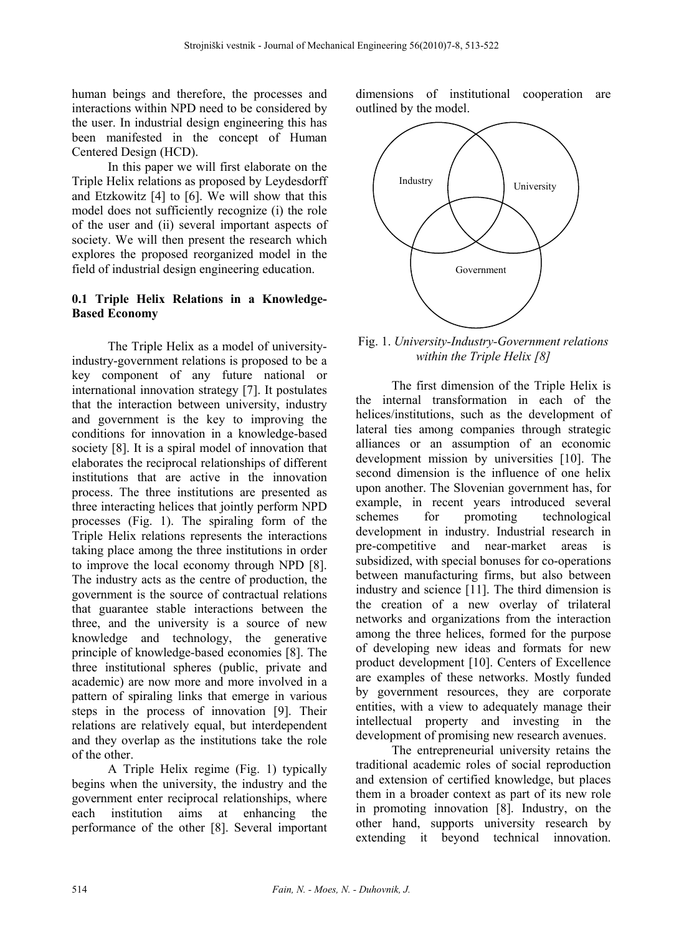human beings and therefore, the processes and interactions within NPD need to be considered by the user. In industrial design engineering this has been manifested in the concept of Human Centered Design (HCD).

In this paper we will first elaborate on the Triple Helix relations as proposed by Leydesdorff and Etzkowitz [4] to [6]. We will show that this model does not sufficiently recognize (i) the role of the user and (ii) several important aspects of society. We will then present the research which explores the proposed reorganized model in the field of industrial design engineering education.

## **0.1 Triple Helix Relations in a Knowledge-Based Economy**

The Triple Helix as a model of universityindustry-government relations is proposed to be a key component of any future national or international innovation strategy [7]. It postulates that the interaction between university, industry and government is the key to improving the conditions for innovation in a knowledge-based society [8]. It is a spiral model of innovation that elaborates the reciprocal relationships of different institutions that are active in the innovation process. The three institutions are presented as three interacting helices that jointly perform NPD processes (Fig. 1). The spiraling form of the Triple Helix relations represents the interactions taking place among the three institutions in order to improve the local economy through NPD [8]. The industry acts as the centre of production, the government is the source of contractual relations that guarantee stable interactions between the three, and the university is a source of new knowledge and technology, the generative principle of knowledge-based economies [8]. The three institutional spheres (public, private and academic) are now more and more involved in a pattern of spiraling links that emerge in various steps in the process of innovation [9]. Their relations are relatively equal, but interdependent and they overlap as the institutions take the role of the other.

A Triple Helix regime (Fig. 1) typically begins when the university, the industry and the government enter reciprocal relationships, where each institution aims at enhancing the performance of the other [8]. Several important

dimensions of institutional cooperation are outlined by the model.



Fig. 1. *University-Industry-Government relations within the Triple Helix [8]* 

The first dimension of the Triple Helix is the internal transformation in each of the helices/institutions, such as the development of lateral ties among companies through strategic alliances or an assumption of an economic development mission by universities [10]. The second dimension is the influence of one helix upon another. The Slovenian government has, for example, in recent years introduced several schemes for promoting technological development in industry. Industrial research in pre-competitive and near-market areas is subsidized, with special bonuses for co-operations between manufacturing firms, but also between industry and science [11]. The third dimension is the creation of a new overlay of trilateral networks and organizations from the interaction among the three helices, formed for the purpose of developing new ideas and formats for new product development [10]. Centers of Excellence are examples of these networks. Mostly funded by government resources, they are corporate entities, with a view to adequately manage their intellectual property and investing in the development of promising new research avenues.

The entrepreneurial university retains the traditional academic roles of social reproduction and extension of certified knowledge, but places them in a broader context as part of its new role in promoting innovation [8]. Industry, on the other hand, supports university research by extending it beyond technical innovation.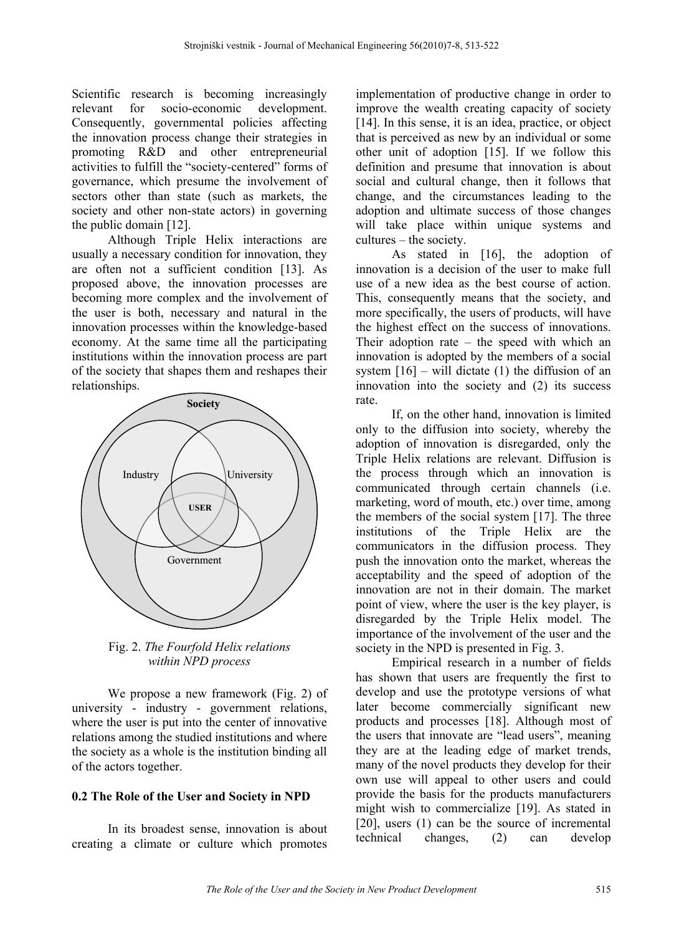Scientific research is becoming increasingly relevant for socio-economic development. Consequently, governmental policies affecting the innovation process change their strategies in promoting R&D and other entrepreneurial activities to fulfill the "society-centered" forms of governance, which presume the involvement of sectors other than state (such as markets, the society and other non-state actors) in governing the public domain [12].

Although Triple Helix interactions are usually a necessary condition for innovation, they are often not a sufficient condition [13]. As proposed above, the innovation processes are becoming more complex and the involvement of the user is both, necessary and natural in the innovation processes within the knowledge-based economy. At the same time all the participating institutions within the innovation process are part of the society that shapes them and reshapes their relationships.



Fig. 2. *The Fourfold Helix relations within NPD process*

We propose a new framework (Fig. 2) of university - industry - government relations, where the user is put into the center of innovative relations among the studied institutions and where the society as a whole is the institution binding all of the actors together.

# **0.2 The Role of the User and Society in NPD**

In its broadest sense, innovation is about creating a climate or culture which promotes

implementation of productive change in order to improve the wealth creating capacity of society [14]. In this sense, it is an idea, practice, or object that is perceived as new by an individual or some other unit of adoption [15]. If we follow this definition and presume that innovation is about social and cultural change, then it follows that change, and the circumstances leading to the adoption and ultimate success of those changes will take place within unique systems and cultures – the society.

As stated in [16], the adoption of innovation is a decision of the user to make full use of a new idea as the best course of action. This, consequently means that the society, and more specifically, the users of products, will have the highest effect on the success of innovations. Their adoption rate – the speed with which an innovation is adopted by the members of a social system  $[16]$  – will dictate (1) the diffusion of an innovation into the society and (2) its success rate.

If, on the other hand, innovation is limited only to the diffusion into society, whereby the adoption of innovation is disregarded, only the Triple Helix relations are relevant. Diffusion is the process through which an innovation is communicated through certain channels (i.e. marketing, word of mouth, etc.) over time, among the members of the social system [17]. The three institutions of the Triple Helix are the communicators in the diffusion process. They push the innovation onto the market, whereas the acceptability and the speed of adoption of the innovation are not in their domain. The market point of view, where the user is the key player, is disregarded by the Triple Helix model. The importance of the involvement of the user and the society in the NPD is presented in Fig. 3.

Empirical research in a number of fields has shown that users are frequently the first to develop and use the prototype versions of what later become commercially significant new products and processes [18]. Although most of the users that innovate are "lead users", meaning they are at the leading edge of market trends, many of the novel products they develop for their own use will appeal to other users and could provide the basis for the products manufacturers might wish to commercialize [19]. As stated in [20], users (1) can be the source of incremental technical changes, (2) can develop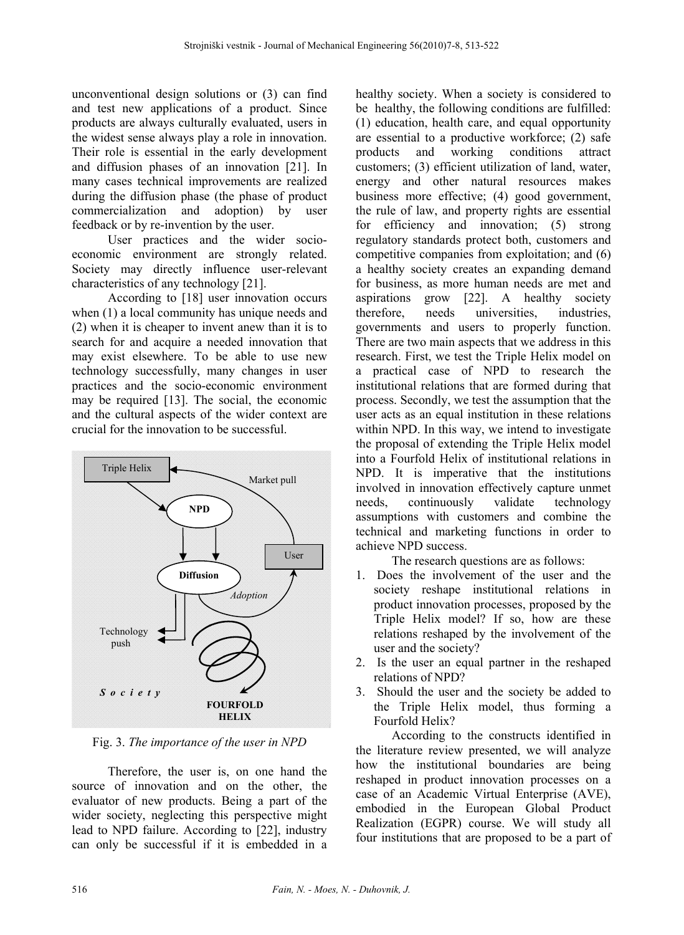unconventional design solutions or (3) can find and test new applications of a product. Since products are always culturally evaluated, users in the widest sense always play a role in innovation. Their role is essential in the early development and diffusion phases of an innovation [21]. In many cases technical improvements are realized during the diffusion phase (the phase of product commercialization and adoption) by user feedback or by re-invention by the user.

User practices and the wider socioeconomic environment are strongly related. Society may directly influence user-relevant characteristics of any technology [21].

According to [18] user innovation occurs when (1) a local community has unique needs and (2) when it is cheaper to invent anew than it is to search for and acquire a needed innovation that may exist elsewhere. To be able to use new technology successfully, many changes in user practices and the socio-economic environment may be required [13]. The social, the economic and the cultural aspects of the wider context are crucial for the innovation to be successful.



Fig. 3. *The importance of the user in NPD*

Therefore, the user is, on one hand the source of innovation and on the other, the evaluator of new products. Being a part of the wider society, neglecting this perspective might lead to NPD failure. According to [22], industry can only be successful if it is embedded in a healthy society. When a society is considered to be healthy, the following conditions are fulfilled: (1) education, health care, and equal opportunity are essential to a productive workforce; (2) safe products and working conditions attract customers; (3) efficient utilization of land, water, energy and other natural resources makes business more effective; (4) good government, the rule of law, and property rights are essential for efficiency and innovation; (5) strong regulatory standards protect both, customers and competitive companies from exploitation; and (6) a healthy society creates an expanding demand for business, as more human needs are met and aspirations grow [22]. A healthy society therefore, needs universities, industries, governments and users to properly function. There are two main aspects that we address in this research. First, we test the Triple Helix model on a practical case of NPD to research the institutional relations that are formed during that process. Secondly, we test the assumption that the user acts as an equal institution in these relations within NPD. In this way, we intend to investigate the proposal of extending the Triple Helix model into a Fourfold Helix of institutional relations in NPD. It is imperative that the institutions involved in innovation effectively capture unmet needs, continuously validate technology assumptions with customers and combine the technical and marketing functions in order to achieve NPD success.

The research questions are as follows:

- 1. Does the involvement of the user and the society reshape institutional relations in product innovation processes, proposed by the Triple Helix model? If so, how are these relations reshaped by the involvement of the user and the society?
- 2. Is the user an equal partner in the reshaped relations of NPD?
- 3. Should the user and the society be added to the Triple Helix model, thus forming a Fourfold Helix?

According to the constructs identified in the literature review presented, we will analyze how the institutional boundaries are being reshaped in product innovation processes on a case of an Academic Virtual Enterprise (AVE), embodied in the European Global Product Realization (EGPR) course. We will study all four institutions that are proposed to be a part of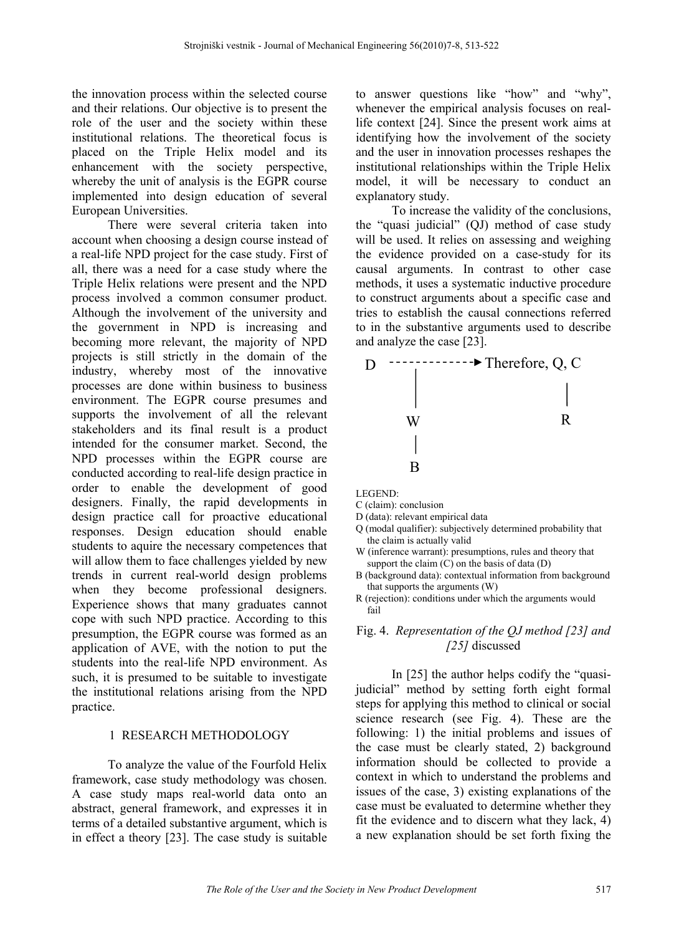the innovation process within the selected course and their relations. Our objective is to present the role of the user and the society within these institutional relations. The theoretical focus is placed on the Triple Helix model and its enhancement with the society perspective, whereby the unit of analysis is the EGPR course implemented into design education of several European Universities.

There were several criteria taken into account when choosing a design course instead of a real-life NPD project for the case study. First of all, there was a need for a case study where the Triple Helix relations were present and the NPD process involved a common consumer product. Although the involvement of the university and the government in NPD is increasing and becoming more relevant, the majority of NPD projects is still strictly in the domain of the industry, whereby most of the innovative processes are done within business to business environment. The EGPR course presumes and supports the involvement of all the relevant stakeholders and its final result is a product intended for the consumer market. Second, the NPD processes within the EGPR course are conducted according to real-life design practice in order to enable the development of good designers. Finally, the rapid developments in design practice call for proactive educational responses. Design education should enable students to aquire the necessary competences that will allow them to face challenges yielded by new trends in current real-world design problems when they become professional designers. Experience shows that many graduates cannot cope with such NPD practice. According to this presumption, the EGPR course was formed as an application of AVE, with the notion to put the students into the real-life NPD environment. As such, it is presumed to be suitable to investigate the institutional relations arising from the NPD practice.

#### 1 RESEARCH METHODOLOGY

To analyze the value of the Fourfold Helix framework, case study methodology was chosen. A case study maps real-world data onto an abstract, general framework, and expresses it in terms of a detailed substantive argument, which is in effect a theory [23]. The case study is suitable to answer questions like "how" and "why", whenever the empirical analysis focuses on reallife context [24]. Since the present work aims at identifying how the involvement of the society and the user in innovation processes reshapes the institutional relationships within the Triple Helix model, it will be necessary to conduct an explanatory study.

To increase the validity of the conclusions, the "quasi judicial" (QJ) method of case study will be used. It relies on assessing and weighing the evidence provided on a case-study for its causal arguments. In contrast to other case methods, it uses a systematic inductive procedure to construct arguments about a specific case and tries to establish the causal connections referred to in the substantive arguments used to describe and analyze the case [23].



LEGEND:

C (claim): conclusion

- D (data): relevant empirical data
- Q (modal qualifier): subjectively determined probability that the claim is actually valid
- W (inference warrant): presumptions, rules and theory that support the claim  $(C)$  on the basis of data  $(D)$
- B (background data): contextual information from background that supports the arguments (W)
- R (rejection): conditions under which the arguments would fail

## Fig. 4. *Representation of the QJ method [23] and [25]* discussed

In [25] the author helps codify the "quasijudicial" method by setting forth eight formal steps for applying this method to clinical or social science research (see Fig. 4). These are the following: 1) the initial problems and issues of the case must be clearly stated, 2) background information should be collected to provide a context in which to understand the problems and issues of the case, 3) existing explanations of the case must be evaluated to determine whether they fit the evidence and to discern what they lack, 4) a new explanation should be set forth fixing the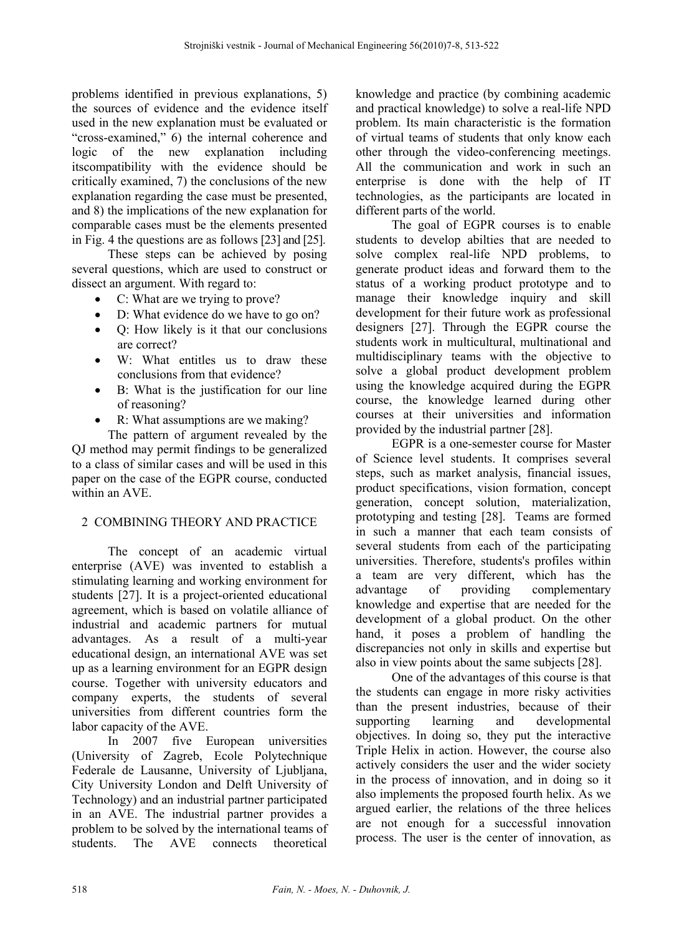problems identified in previous explanations, 5) the sources of evidence and the evidence itself used in the new explanation must be evaluated or "cross-examined," 6) the internal coherence and logic of the new explanation including itscompatibility with the evidence should be critically examined, 7) the conclusions of the new explanation regarding the case must be presented, and 8) the implications of the new explanation for comparable cases must be the elements presented in Fig. 4 the questions are as follows [23] and [25].

These steps can be achieved by posing several questions, which are used to construct or dissect an argument. With regard to:

- C: What are we trying to prove?
- D: What evidence do we have to go on?
- Q: How likely is it that our conclusions are correct?
- W: What entitles us to draw these conclusions from that evidence?
- B: What is the justification for our line of reasoning?
- R: What assumptions are we making?

The pattern of argument revealed by the QJ method may permit findings to be generalized to a class of similar cases and will be used in this paper on the case of the EGPR course, conducted within an AVE.

# 2 COMBINING THEORY AND PRACTICE

The concept of an academic virtual enterprise (AVE) was invented to establish a stimulating learning and working environment for students [27]. It is a project-oriented educational agreement, which is based on volatile alliance of industrial and academic partners for mutual advantages. As a result of a multi-year educational design, an international AVE was set up as a learning environment for an EGPR design course. Together with university educators and company experts, the students of several universities from different countries form the labor capacity of the AVE.

In 2007 five European universities (University of Zagreb, Ecole Polytechnique Federale de Lausanne, University of Liubliana, City University London and Delft University of Technology) and an industrial partner participated in an AVE. The industrial partner provides a problem to be solved by the international teams of students. The AVE connects theoretical knowledge and practice (by combining academic and practical knowledge) to solve a real-life NPD problem. Its main characteristic is the formation of virtual teams of students that only know each other through the video-conferencing meetings. All the communication and work in such an enterprise is done with the help of IT technologies, as the participants are located in different parts of the world.

The goal of EGPR courses is to enable students to develop abilties that are needed to solve complex real-life NPD problems, to generate product ideas and forward them to the status of a working product prototype and to manage their knowledge inquiry and skill development for their future work as professional designers [27]. Through the EGPR course the students work in multicultural, multinational and multidisciplinary teams with the objective to solve a global product development problem using the knowledge acquired during the EGPR course, the knowledge learned during other courses at their universities and information provided by the industrial partner [28].

EGPR is a one-semester course for Master of Science level students. It comprises several steps, such as market analysis, financial issues, product specifications, vision formation, concept generation, concept solution, materialization, prototyping and testing [28]. Teams are formed in such a manner that each team consists of several students from each of the participating universities. Therefore, students's profiles within a team are very different, which has the advantage of providing complementary knowledge and expertise that are needed for the development of a global product. On the other hand, it poses a problem of handling the discrepancies not only in skills and expertise but also in view points about the same subjects [28].

One of the advantages of this course is that the students can engage in more risky activities than the present industries, because of their supporting learning and developmental objectives. In doing so, they put the interactive Triple Helix in action. However, the course also actively considers the user and the wider society in the process of innovation, and in doing so it also implements the proposed fourth helix. As we argued earlier, the relations of the three helices are not enough for a successful innovation process. The user is the center of innovation, as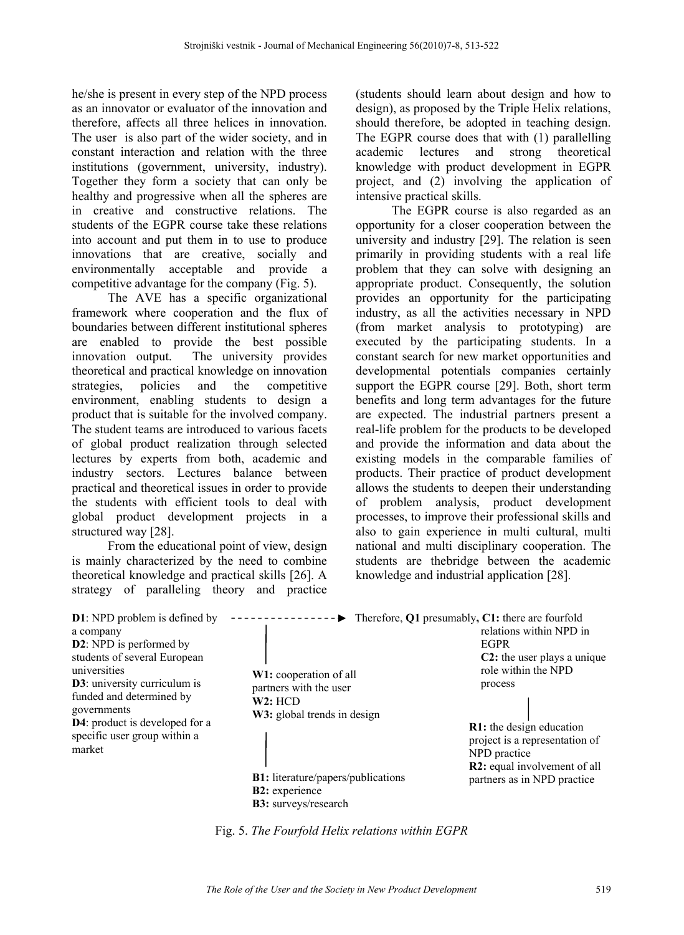he/she is present in every step of the NPD process as an innovator or evaluator of the innovation and therefore, affects all three helices in innovation. The user is also part of the wider society, and in constant interaction and relation with the three institutions (government, university, industry). Together they form a society that can only be healthy and progressive when all the spheres are in creative and constructive relations. The students of the EGPR course take these relations into account and put them in to use to produce innovations that are creative, socially and environmentally acceptable and provide a competitive advantage for the company (Fig. 5).

The AVE has a specific organizational framework where cooperation and the flux of boundaries between different institutional spheres are enabled to provide the best possible innovation output. The university provides theoretical and practical knowledge on innovation strategies, policies and the competitive environment, enabling students to design a product that is suitable for the involved company. The student teams are introduced to various facets of global product realization through selected lectures by experts from both, academic and industry sectors. Lectures balance between practical and theoretical issues in order to provide the students with efficient tools to deal with global product development projects in a structured way [28].

From the educational point of view, design is mainly characterized by the need to combine theoretical knowledge and practical skills [26]. A strategy of paralleling theory and practice

(students should learn about design and how to design), as proposed by the Triple Helix relations, should therefore, be adopted in teaching design. The EGPR course does that with (1) parallelling academic lectures and strong theoretical knowledge with product development in EGPR project, and (2) involving the application of intensive practical skills.

The EGPR course is also regarded as an opportunity for a closer cooperation between the university and industry [29]. The relation is seen primarily in providing students with a real life problem that they can solve with designing an appropriate product. Consequently, the solution provides an opportunity for the participating industry, as all the activities necessary in NPD (from market analysis to prototyping) are executed by the participating students. In a constant search for new market opportunities and developmental potentials companies certainly support the EGPR course [29]. Both, short term benefits and long term advantages for the future are expected. The industrial partners present a real-life problem for the products to be developed and provide the information and data about the existing models in the comparable families of products. Their practice of product development allows the students to deepen their understanding of problem analysis, product development processes, to improve their professional skills and also to gain experience in multi cultural, multi national and multi disciplinary cooperation. The students are thebridge between the academic knowledge and industrial application [28].

| <b>D1</b> : NPD problem is defined by                                                                                                                                                                                                                               |                                                                                                                                   | $\blacktriangleright$ Therefore, Q1 presumably, C1: there are fourfold                                                                                    |
|---------------------------------------------------------------------------------------------------------------------------------------------------------------------------------------------------------------------------------------------------------------------|-----------------------------------------------------------------------------------------------------------------------------------|-----------------------------------------------------------------------------------------------------------------------------------------------------------|
| a company<br><b>D2</b> : NPD is performed by<br>students of several European<br>universities<br><b>D3</b> : university curriculum is<br>funded and determined by<br>governments<br><b>D4</b> : product is developed for a<br>specific user group within a<br>market | W1: cooperation of all<br>partners with the user<br>W2: HCD                                                                       | relations within NPD in<br><b>EGPR</b><br><b>C2</b> : the user plays a unique<br>role within the NPD<br>process                                           |
|                                                                                                                                                                                                                                                                     | W3: global trends in design<br><b>B1:</b> literature/papers/publications<br><b>B2</b> : experience<br><b>B3:</b> surveys/research | <b>R1</b> : the design education<br>project is a representation of<br>NPD practice<br><b>R2</b> : equal involvement of all<br>partners as in NPD practice |

Fig. 5. *The Fourfold Helix relations within EGPR*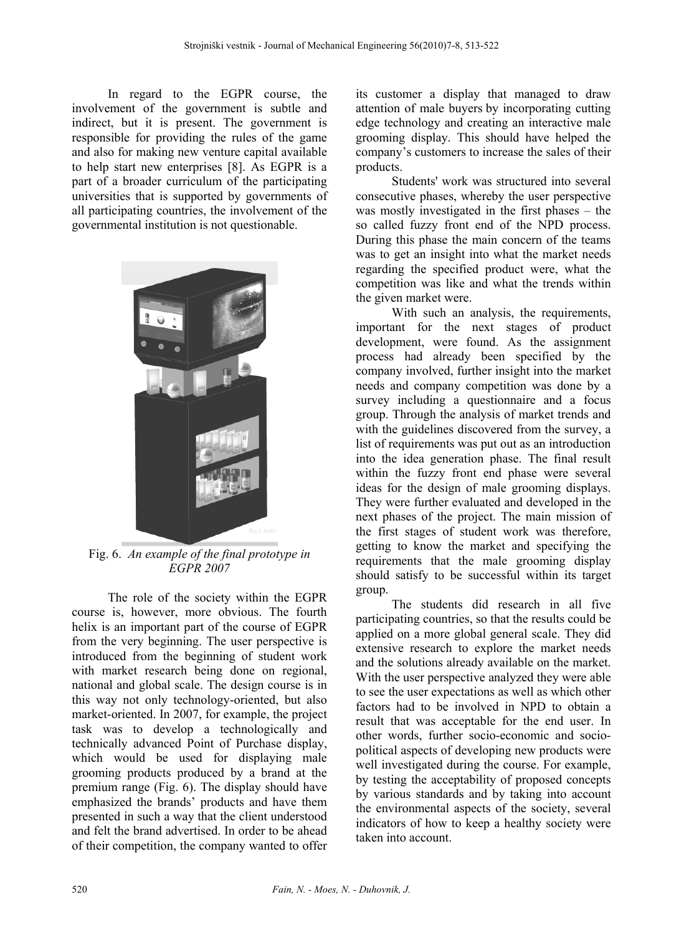In regard to the EGPR course, the involvement of the government is subtle and indirect, but it is present. The government is responsible for providing the rules of the game and also for making new venture capital available to help start new enterprises [8]. As EGPR is a part of a broader curriculum of the participating universities that is supported by governments of all participating countries, the involvement of the governmental institution is not questionable.



Fig. 6. *An example of the final prototype in EGPR 2007*

The role of the society within the EGPR course is, however, more obvious. The fourth helix is an important part of the course of EGPR from the very beginning. The user perspective is introduced from the beginning of student work with market research being done on regional, national and global scale. The design course is in this way not only technology-oriented, but also market-oriented. In 2007, for example, the project task was to develop a technologically and technically advanced Point of Purchase display, which would be used for displaying male grooming products produced by a brand at the premium range (Fig. 6). The display should have emphasized the brands' products and have them presented in such a way that the client understood and felt the brand advertised. In order to be ahead of their competition, the company wanted to offer its customer a display that managed to draw attention of male buyers by incorporating cutting edge technology and creating an interactive male grooming display. This should have helped the company's customers to increase the sales of their products.

Students' work was structured into several consecutive phases, whereby the user perspective was mostly investigated in the first phases – the so called fuzzy front end of the NPD process. During this phase the main concern of the teams was to get an insight into what the market needs regarding the specified product were, what the competition was like and what the trends within the given market were.

With such an analysis, the requirements, important for the next stages of product development, were found. As the assignment process had already been specified by the company involved, further insight into the market needs and company competition was done by a survey including a questionnaire and a focus group. Through the analysis of market trends and with the guidelines discovered from the survey, a list of requirements was put out as an introduction into the idea generation phase. The final result within the fuzzy front end phase were several ideas for the design of male grooming displays. They were further evaluated and developed in the next phases of the project. The main mission of the first stages of student work was therefore, getting to know the market and specifying the requirements that the male grooming display should satisfy to be successful within its target group.

The students did research in all five participating countries, so that the results could be applied on a more global general scale. They did extensive research to explore the market needs and the solutions already available on the market. With the user perspective analyzed they were able to see the user expectations as well as which other factors had to be involved in NPD to obtain a result that was acceptable for the end user. In other words, further socio-economic and sociopolitical aspects of developing new products were well investigated during the course. For example, by testing the acceptability of proposed concepts by various standards and by taking into account the environmental aspects of the society, several indicators of how to keep a healthy society were taken into account.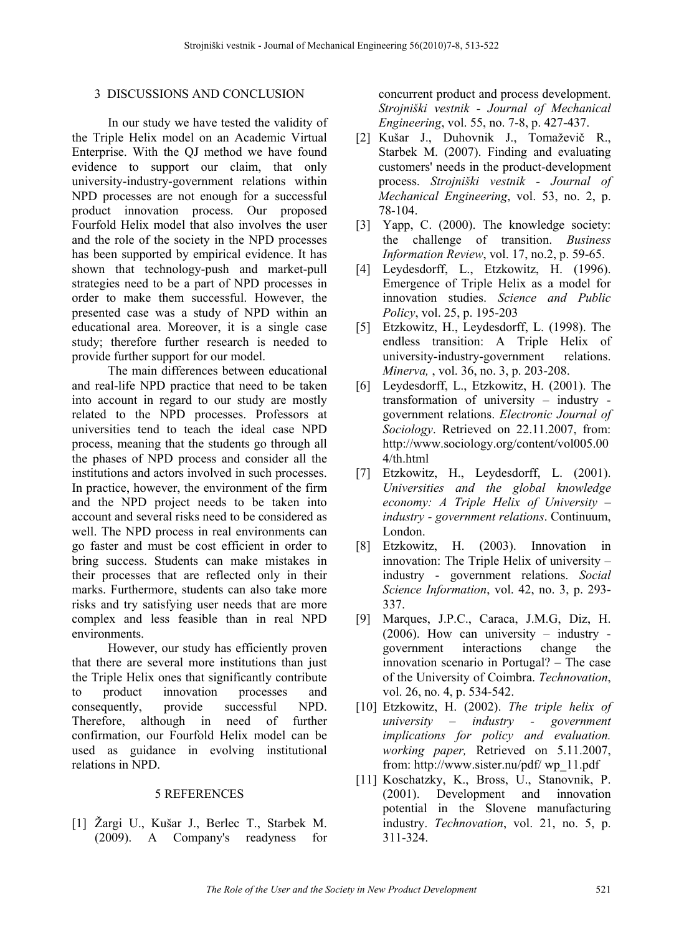#### 3 DISCUSSIONS AND CONCLUSION

In our study we have tested the validity of the Triple Helix model on an Academic Virtual Enterprise. With the QJ method we have found evidence to support our claim, that only university-industry-government relations within NPD processes are not enough for a successful product innovation process. Our proposed Fourfold Helix model that also involves the user and the role of the society in the NPD processes has been supported by empirical evidence. It has shown that technology-push and market-pull strategies need to be a part of NPD processes in order to make them successful. However, the presented case was a study of NPD within an educational area. Moreover, it is a single case study; therefore further research is needed to provide further support for our model.

The main differences between educational and real-life NPD practice that need to be taken into account in regard to our study are mostly related to the NPD processes. Professors at universities tend to teach the ideal case NPD process, meaning that the students go through all the phases of NPD process and consider all the institutions and actors involved in such processes. In practice, however, the environment of the firm and the NPD project needs to be taken into account and several risks need to be considered as well. The NPD process in real environments can go faster and must be cost efficient in order to bring success. Students can make mistakes in their processes that are reflected only in their marks. Furthermore, students can also take more risks and try satisfying user needs that are more complex and less feasible than in real NPD environments.

However, our study has efficiently proven that there are several more institutions than just the Triple Helix ones that significantly contribute to product innovation processes and consequently, provide successful NPD. Therefore, although in need of further confirmation, our Fourfold Helix model can be used as guidance in evolving institutional relations in NPD.

#### 5 REFERENCES

[1] Žargi U., Kušar J., Berlec T., Starbek M. (2009). A Company's readyness for concurrent product and process development. *Strojniški vestnik - Journal of Mechanical Engineering*, vol. 55, no. 7-8, p. 427-437.

- [2] Kušar J., Duhovnik J., Tomaževič R., Starbek M. (2007). Finding and evaluating customers' needs in the product-development process. *Strojniški vestnik - Journal of Mechanical Engineering*, vol. 53, no. 2, p. 78-104.
- [3] Yapp, C. (2000). The knowledge society: the challenge of transition. *Business Information Review*, vol. 17, no.2, p. 59-65.
- [4] Leydesdorff, L., Etzkowitz, H. (1996). Emergence of Triple Helix as a model for innovation studies. *Science and Public Policy*, vol. 25, p. 195-203
- [5] Etzkowitz, H., Leydesdorff, L. (1998). The endless transition: A Triple Helix of university-industry-government relations. *Minerva,* , vol. 36, no. 3, p. 203-208.
- [6] Leydesdorff, L., Etzkowitz, H. (2001). The transformation of university – industry government relations. *Electronic Journal of Sociology*. Retrieved on 22.11.2007, from: http://www.sociology.org/content/vol005.00 4/th.html
- [7] Etzkowitz, H., Leydesdorff, L. (2001). *Universities and the global knowledge economy: A Triple Helix of University – industry - government relations*. Continuum, London.
- [8] Etzkowitz, H. (2003). Innovation in innovation: The Triple Helix of university – industry - government relations. *Social Science Information*, vol. 42, no. 3, p. 293- 337.
- [9] Marques, J.P.C., Caraca, J.M.G, Diz, H. (2006). How can university – industry government interactions change the innovation scenario in Portugal? – The case of the University of Coimbra. *Technovation*, vol. 26, no. 4, p. 534-542.
- [10] Etzkowitz, H. (2002). *The triple helix of university – industry - government implications for policy and evaluation. working paper,* Retrieved on 5.11.2007, from: http://www.sister.nu/pdf/ wp\_11.pdf
- [11] Koschatzky, K., Bross, U., Stanovnik, P. (2001). Development and innovation potential in the Slovene manufacturing industry. *Technovation*, vol. 21, no. 5, p. 311-324.